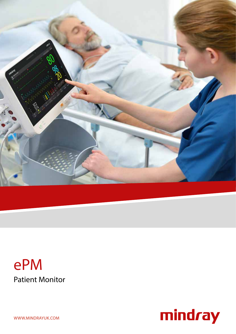

# Patient Monitor ePM



WWW.MINDRAYUK.COM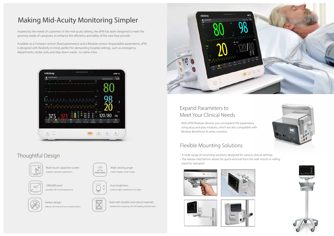- A wide range of mounting solutions designed for various clinical settings

- The release mechanism allows for quick removal from the wall mount or rolling stand for transport

















Available as a Compact version (fixed parameters) and a Modular version (expandable parameters), ePM is designed with flexibility in mind, perfect for demanding hospital settings, such as emergency departments, stroke units and step down wards - to name a few.



## Flexible Mounting Solutions

Multi-touch capacitive screen supports gestures operations

1280x800 pixel provides HD visual experience



Wide viewing angle makes display more visible

### Auto brightness reduces light interference at night







 $\uparrow$ 

Fanless design reduces the risk of cross-contamination

Built with durable and robust materials validated for cleaning with 49 leading disinfectants



# Making Mid-Acuity Monitoring Simpler

Inspired by the needs of customers in the mid-acuity setting, the ePM has been designed to meet the growing needs of caregivers, to enhance the efficiency and safety of the care they provide.

## Thoughtful Design



- With ePM Modular devices you can expand the parameters using plug-and-play modules, which are also compatible with Mindray BeneVision N series monitors

### Expand Parameters to Meet Your Clinical Needs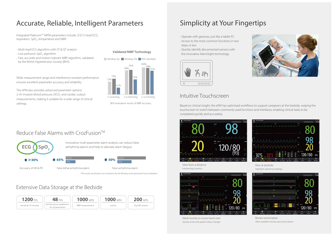## Simplicity at Your Fingertips

### Intuitive Touchscreen

Based on clinical insight, the ePM has optimised workflows to support caregivers at the bedside, swiping the touchscreen to switch between commonly used functions and interfaces, enabling clinical tasks to be completed quickly and accurately.



View at bedside Highlights abnormal readings



Ward rounds or nurses hand over Quickly review the patient status changes

## Reduce False Alarms with CrozFusion™

View from a distance Intuitive big numerics



Review and analyze 24hrs waveform review and critical alarms

# Accurate, Reliable, Intelligent Parameters

Integrated Platinum™ MPM parameters include, 3/5/12-lead ECG, respiration, SpO<sub>2</sub>, temperature and NIBP.

## Extensive Data Storage at the Bedside









*\*The results are based on an evaluation by* the *Mindray multi-parameter fusion database.*

- Multi-lead ECG algorithm with ST & QT analysis
- Low perfusion SpO<sub>2</sub> algorithm
- Fast, accurate and motion tolerant NIBP algorithm, validated by the British Hypertension Society (BHS)



- Operate with gestures, just like a tablet PC
- Access to the most common functions in two steps or less
- Quickly identify disconnected sensors with the innovative AlarmSight technology



BHS evaluation results of NIBP accuracy

**Validated NIBP Technology**

Wide measurement range and interference resistant performance ensures excellent parameter accuracy and reliability.

The ePM also provides advanced parameter options: 2-ch invasive blood pressure, EtCO $_2$  and cardiac output measurements, making it suitable for a wide range of clinical settings.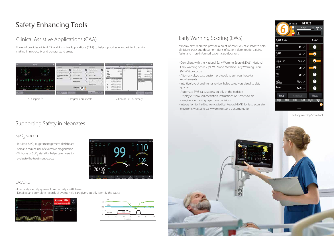- Compliant with the National Early Warning Score (NEWS), National Early Warning Score 2 (NEWS2) and Modified Early Warning Score (MEWS) protocols
- Alternatively, create custom protocols to suit your hospital requirements
- Intuitive layout and trends review helps caregivers visualise data quicker
- Automate EWS calculations quickly at the bedside
- Display customised escalation instructions on-screen to aid caregivers in making rapid care decisions
- Integration to the Electronic Medical Record (EMR) for fast, accurate electronic vitals and early warning score documentation



| NEWS2<br>@13:53  |                   |                       |
|------------------|-------------------|-----------------------|
|                  | 00:49:23          | 1 <sub>h</sub><br>⊚ > |
|                  | 2                 |                       |
| SpO2 Scale       |                   | Scale 1               |
| RR<br>rpm        | $12 \, \prime$    | $\boxed{0}$           |
| SpO <sub>2</sub> | 92                | $\overline{2}$        |
| Supp. 02         | Yes /             | $\overline{2}$        |
| BP-S<br>mmHg     | $100$ $\prime$    | $\overline{2}$        |
| НR<br>bpm        | 58                | $\boxed{0}$           |
| LOC<br>(ACVPU)   | Alert /           | $\boxed{0}$           |
| Temp             | $36.5$ $\swarrow$ | $\boxed{0}$           |
| Setup            | Calculate         | <b>Reset</b>          |
|                  | 00:00<br>04:00    | 08:00<br>12:00        |

- E ectively identify apnea of prematurity as ABD event
- Detailed and complete records of events help caregivers quickly identify the cause



The Early Warning Score tool



## Early Warning Scoring (EWS)

Mindray ePM monitors provide a point-of-care EWS calculator to help clinicians track and document signs of patient deterioration, aiding faster and more informed patient care decisions.

## Clinical Assistive Applications (CAA)

The ePM provides eÿcient Clinical A ssistive Applications (CAA) to help support safe and eÿcient decision making in mid-acuity and general ward areas.

Supporting Safety in Neonates

### SpO<sub>2</sub> Screen

- Intuitive SpO<sub>2</sub> target management dashboard helps to reduce risk of excessive oxygenation
- 24 hours of SpO<sub>2</sub> statistics helps caregivers to evaluate the treatment e, ects



### OxyCRG





# Safety Enhancing Tools